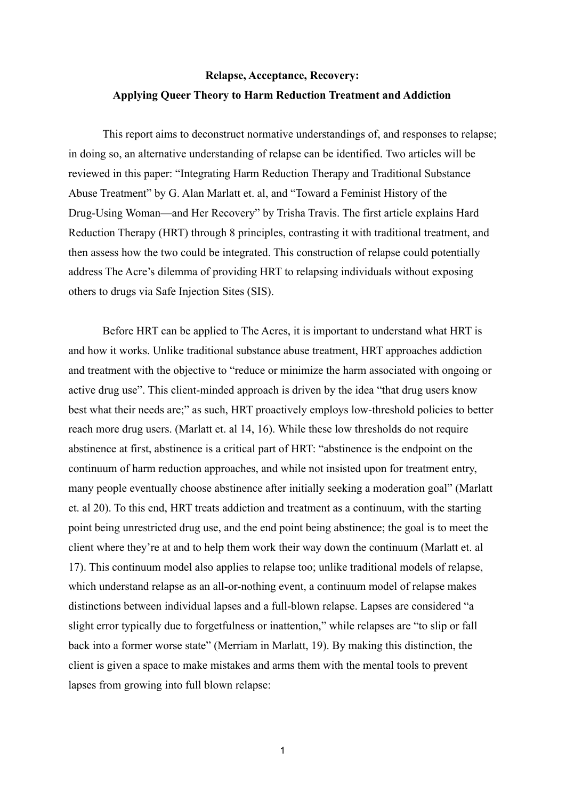# **Relapse, Acceptance, Recovery: Applying Queer Theory to Harm Reduction Treatment and Addiction**

This report aims to deconstruct normative understandings of, and responses to relapse; in doing so, an alternative understanding of relapse can be identified. Two articles will be reviewed in this paper: "Integrating Harm Reduction Therapy and Traditional Substance Abuse Treatment" by G. Alan Marlatt et. al, and "Toward a Feminist History of the Drug-Using Woman—and Her Recovery" by Trisha Travis. The first article explains Hard Reduction Therapy (HRT) through 8 principles, contrasting it with traditional treatment, and then assess how the two could be integrated. This construction of relapse could potentially address The Acre's dilemma of providing HRT to relapsing individuals without exposing others to drugs via Safe Injection Sites (SIS).

Before HRT can be applied to The Acres, it is important to understand what HRT is and how it works. Unlike traditional substance abuse treatment, HRT approaches addiction and treatment with the objective to "reduce or minimize the harm associated with ongoing or active drug use". This client-minded approach is driven by the idea "that drug users know best what their needs are;" as such, HRT proactively employs low-threshold policies to better reach more drug users. (Marlatt et. al 14, 16). While these low thresholds do not require abstinence at first, abstinence is a critical part of HRT: "abstinence is the endpoint on the continuum of harm reduction approaches, and while not insisted upon for treatment entry, many people eventually choose abstinence after initially seeking a moderation goal" (Marlatt et. al 20). To this end, HRT treats addiction and treatment as a continuum, with the starting point being unrestricted drug use, and the end point being abstinence; the goal is to meet the client where they're at and to help them work their way down the continuum (Marlatt et. al 17). This continuum model also applies to relapse too; unlike traditional models of relapse, which understand relapse as an all-or-nothing event, a continuum model of relapse makes distinctions between individual lapses and a full-blown relapse. Lapses are considered "a slight error typically due to forgetfulness or inattention," while relapses are "to slip or fall back into a former worse state" (Merriam in Marlatt, 19). By making this distinction, the client is given a space to make mistakes and arms them with the mental tools to prevent lapses from growing into full blown relapse: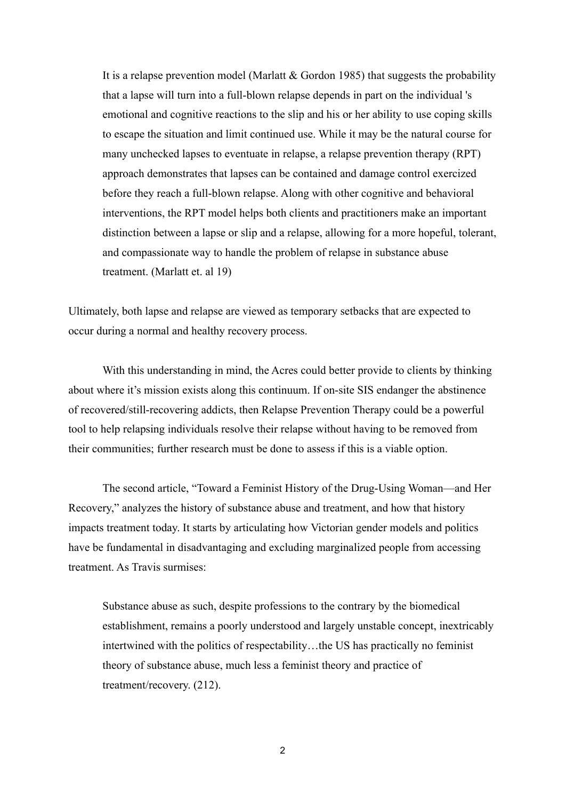It is a relapse prevention model (Marlatt & Gordon 1985) that suggests the probability that a lapse will turn into a full-blown relapse depends in part on the individual 's emotional and cognitive reactions to the slip and his or her ability to use coping skills to escape the situation and limit continued use. While it may be the natural course for many unchecked lapses to eventuate in relapse, a relapse prevention therapy (RPT) approach demonstrates that lapses can be contained and damage control exercized before they reach a full-blown relapse. Along with other cognitive and behavioral interventions, the RPT model helps both clients and practitioners make an important distinction between a lapse or slip and a relapse, allowing for a more hopeful, tolerant, and compassionate way to handle the problem of relapse in substance abuse treatment. (Marlatt et. al 19)

Ultimately, both lapse and relapse are viewed as temporary setbacks that are expected to occur during a normal and healthy recovery process.

With this understanding in mind, the Acres could better provide to clients by thinking about where it's mission exists along this continuum. If on-site SIS endanger the abstinence of recovered/still-recovering addicts, then Relapse Prevention Therapy could be a powerful tool to help relapsing individuals resolve their relapse without having to be removed from their communities; further research must be done to assess if this is a viable option.

The second article, "Toward a Feminist History of the Drug-Using Woman—and Her Recovery," analyzes the history of substance abuse and treatment, and how that history impacts treatment today. It starts by articulating how Victorian gender models and politics have be fundamental in disadvantaging and excluding marginalized people from accessing treatment. As Travis surmises:

Substance abuse as such, despite professions to the contrary by the biomedical establishment, remains a poorly understood and largely unstable concept, inextricably intertwined with the politics of respectability…the US has practically no feminist theory of substance abuse, much less a feminist theory and practice of treatment/recovery. (212).

2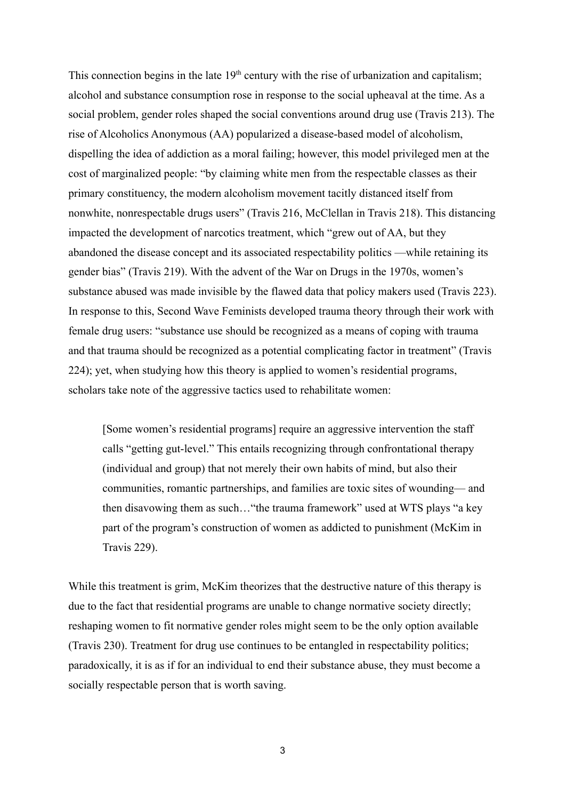This connection begins in the late  $19<sup>th</sup>$  century with the rise of urbanization and capitalism; alcohol and substance consumption rose in response to the social upheaval at the time. As a social problem, gender roles shaped the social conventions around drug use (Travis 213). The rise of Alcoholics Anonymous (AA) popularized a disease-based model of alcoholism, dispelling the idea of addiction as a moral failing; however, this model privileged men at the cost of marginalized people: "by claiming white men from the respectable classes as their primary constituency, the modern alcoholism movement tacitly distanced itself from nonwhite, nonrespectable drugs users" (Travis 216, McClellan in Travis 218). This distancing impacted the development of narcotics treatment, which "grew out of AA, but they abandoned the disease concept and its associated respectability politics —while retaining its gender bias" (Travis 219). With the advent of the War on Drugs in the 1970s, women's substance abused was made invisible by the flawed data that policy makers used (Travis 223). In response to this, Second Wave Feminists developed trauma theory through their work with female drug users: "substance use should be recognized as a means of coping with trauma and that trauma should be recognized as a potential complicating factor in treatment" (Travis 224); yet, when studying how this theory is applied to women's residential programs, scholars take note of the aggressive tactics used to rehabilitate women:

[Some women's residential programs] require an aggressive intervention the staff calls "getting gut-level." This entails recognizing through confrontational therapy (individual and group) that not merely their own habits of mind, but also their communities, romantic partnerships, and families are toxic sites of wounding— and then disavowing them as such…"the trauma framework" used at WTS plays "a key part of the program's construction of women as addicted to punishment (McKim in Travis 229).

While this treatment is grim, McKim theorizes that the destructive nature of this therapy is due to the fact that residential programs are unable to change normative society directly; reshaping women to fit normative gender roles might seem to be the only option available (Travis 230). Treatment for drug use continues to be entangled in respectability politics; paradoxically, it is as if for an individual to end their substance abuse, they must become a socially respectable person that is worth saving.

3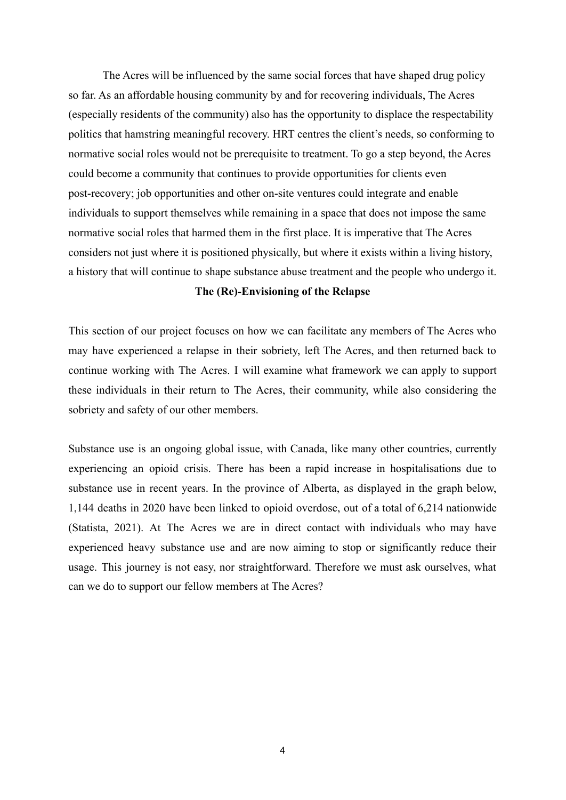The Acres will be influenced by the same social forces that have shaped drug policy so far. As an affordable housing community by and for recovering individuals, The Acres (especially residents of the community) also has the opportunity to displace the respectability politics that hamstring meaningful recovery. HRT centres the client's needs, so conforming to normative social roles would not be prerequisite to treatment. To go a step beyond, the Acres could become a community that continues to provide opportunities for clients even post-recovery; job opportunities and other on-site ventures could integrate and enable individuals to support themselves while remaining in a space that does not impose the same normative social roles that harmed them in the first place. It is imperative that The Acres considers not just where it is positioned physically, but where it exists within a living history, a history that will continue to shape substance abuse treatment and the people who undergo it.

### **The (Re)-Envisioning of the Relapse**

This section of our project focuses on how we can facilitate any members of The Acres who may have experienced a relapse in their sobriety, left The Acres, and then returned back to continue working with The Acres. I will examine what framework we can apply to support these individuals in their return to The Acres, their community, while also considering the sobriety and safety of our other members.

Substance use is an ongoing global issue, with Canada, like many other countries, currently experiencing an opioid crisis. There has been a rapid increase in hospitalisations due to substance use in recent years. In the province of Alberta, as displayed in the graph below, 1,144 deaths in 2020 have been linked to opioid overdose, out of a total of 6,214 nationwide (Statista, 2021). At The Acres we are in direct contact with individuals who may have experienced heavy substance use and are now aiming to stop or significantly reduce their usage. This journey is not easy, nor straightforward. Therefore we must ask ourselves, what can we do to support our fellow members at The Acres?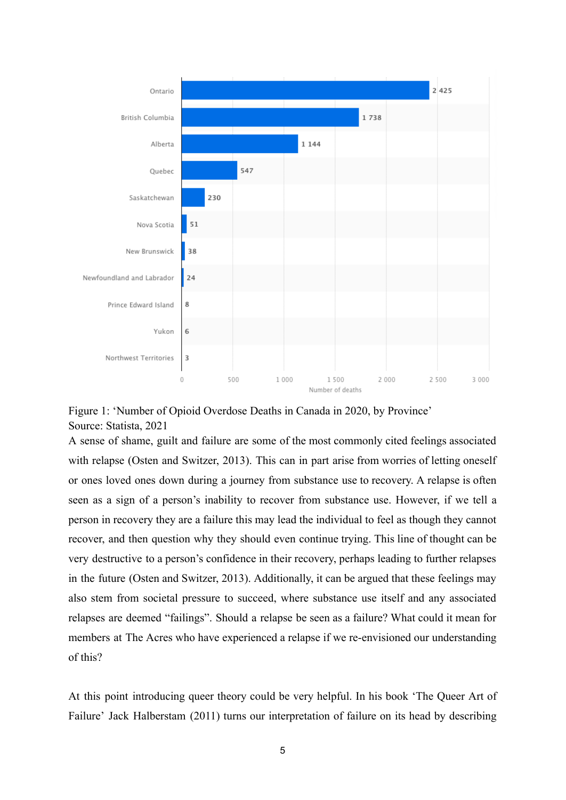

Figure 1: 'Number of Opioid Overdose Deaths in Canada in 2020, by Province' Source: Statista, 2021

A sense of shame, guilt and failure are some of the most commonly cited feelings associated with relapse (Osten and Switzer, 2013). This can in part arise from worries of letting oneself or ones loved ones down during a journey from substance use to recovery. A relapse is often seen as a sign of a person's inability to recover from substance use. However, if we tell a person in recovery they are a failure this may lead the individual to feel as though they cannot recover, and then question why they should even continue trying. This line of thought can be very destructive to a person's confidence in their recovery, perhaps leading to further relapses in the future (Osten and Switzer, 2013). Additionally, it can be argued that these feelings may also stem from societal pressure to succeed, where substance use itself and any associated relapses are deemed "failings". Should a relapse be seen as a failure? What could it mean for members at The Acres who have experienced a relapse if we re-envisioned our understanding of this?

At this point introducing queer theory could be very helpful. In his book 'The Queer Art of Failure' Jack Halberstam (2011) turns our interpretation of failure on its head by describing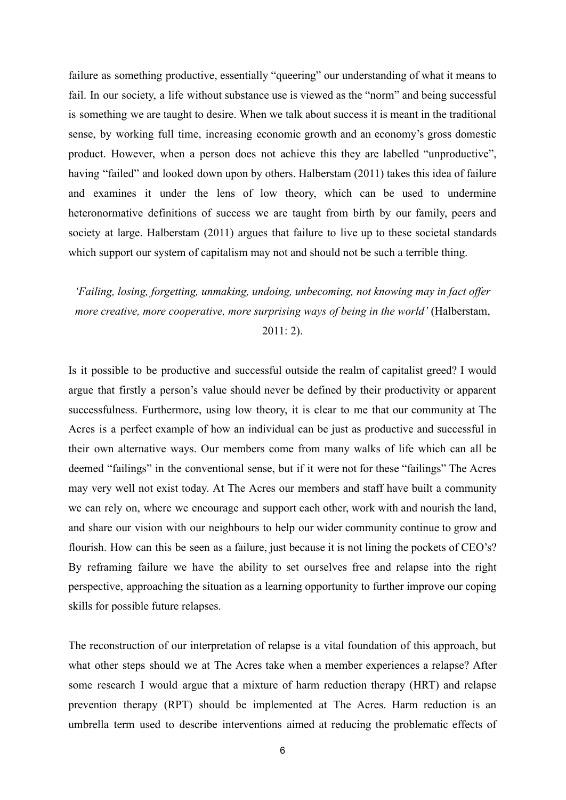failure as something productive, essentially "queering" our understanding of what it means to fail. In our society, a life without substance use is viewed as the "norm" and being successful is something we are taught to desire. When we talk about success it is meant in the traditional sense, by working full time, increasing economic growth and an economy's gross domestic product. However, when a person does not achieve this they are labelled "unproductive", having "failed" and looked down upon by others. Halberstam (2011) takes this idea of failure and examines it under the lens of low theory, which can be used to undermine heteronormative definitions of success we are taught from birth by our family, peers and society at large. Halberstam (2011) argues that failure to live up to these societal standards which support our system of capitalism may not and should not be such a terrible thing.

*'Failing, losing, forgetting, unmaking, undoing, unbecoming, not knowing may in fact offer more creative, more cooperative, more surprising ways of being in the world'* (Halberstam,

 $2011:2$ ).

Is it possible to be productive and successful outside the realm of capitalist greed? I would argue that firstly a person's value should never be defined by their productivity or apparent successfulness. Furthermore, using low theory, it is clear to me that our community at The Acres is a perfect example of how an individual can be just as productive and successful in their own alternative ways. Our members come from many walks of life which can all be deemed "failings" in the conventional sense, but if it were not for these "failings" The Acres may very well not exist today. At The Acres our members and staff have built a community we can rely on, where we encourage and support each other, work with and nourish the land, and share our vision with our neighbours to help our wider community continue to grow and flourish. How can this be seen as a failure, just because it is not lining the pockets of CEO's? By reframing failure we have the ability to set ourselves free and relapse into the right perspective, approaching the situation as a learning opportunity to further improve our coping skills for possible future relapses.

The reconstruction of our interpretation of relapse is a vital foundation of this approach, but what other steps should we at The Acres take when a member experiences a relapse? After some research I would argue that a mixture of harm reduction therapy (HRT) and relapse prevention therapy (RPT) should be implemented at The Acres. Harm reduction is an umbrella term used to describe interventions aimed at reducing the problematic effects of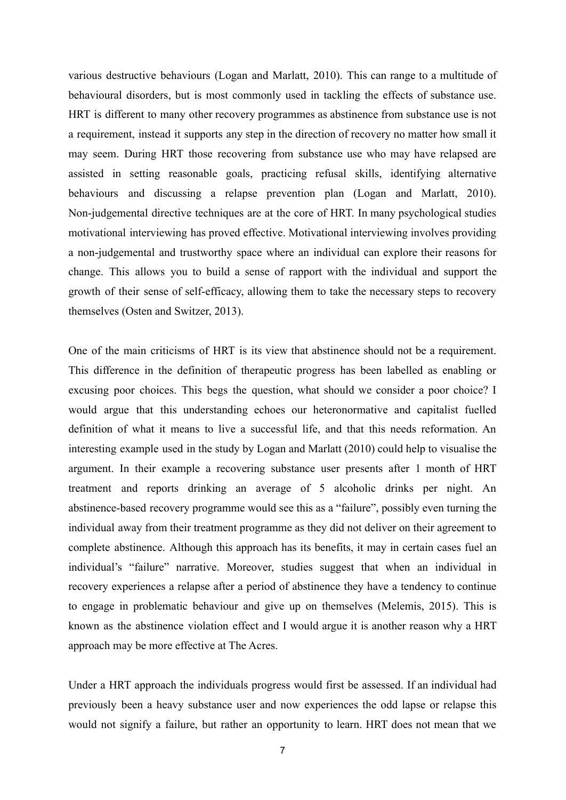various destructive behaviours (Logan and Marlatt, 2010). This can range to a multitude of behavioural disorders, but is most commonly used in tackling the effects of substance use. HRT is different to many other recovery programmes as abstinence from substance use is not a requirement, instead it supports any step in the direction of recovery no matter how small it may seem. During HRT those recovering from substance use who may have relapsed are assisted in setting reasonable goals, practicing refusal skills, identifying alternative behaviours and discussing a relapse prevention plan (Logan and Marlatt, 2010). Non-judgemental directive techniques are at the core of HRT. In many psychological studies motivational interviewing has proved effective. Motivational interviewing involves providing a non-judgemental and trustworthy space where an individual can explore their reasons for change. This allows you to build a sense of rapport with the individual and support the growth of their sense of self-efficacy, allowing them to take the necessary steps to recovery themselves (Osten and Switzer, 2013).

One of the main criticisms of HRT is its view that abstinence should not be a requirement. This difference in the definition of therapeutic progress has been labelled as enabling or excusing poor choices. This begs the question, what should we consider a poor choice? I would argue that this understanding echoes our heteronormative and capitalist fuelled definition of what it means to live a successful life, and that this needs reformation. An interesting example used in the study by Logan and Marlatt (2010) could help to visualise the argument. In their example a recovering substance user presents after 1 month of HRT treatment and reports drinking an average of 5 alcoholic drinks per night. An abstinence-based recovery programme would see this as a "failure", possibly even turning the individual away from their treatment programme as they did not deliver on their agreement to complete abstinence. Although this approach has its benefits, it may in certain cases fuel an individual's "failure" narrative. Moreover, studies suggest that when an individual in recovery experiences a relapse after a period of abstinence they have a tendency to continue to engage in problematic behaviour and give up on themselves (Melemis, 2015). This is known as the abstinence violation effect and I would argue it is another reason why a HRT approach may be more effective at The Acres.

Under a HRT approach the individuals progress would first be assessed. If an individual had previously been a heavy substance user and now experiences the odd lapse or relapse this would not signify a failure, but rather an opportunity to learn. HRT does not mean that we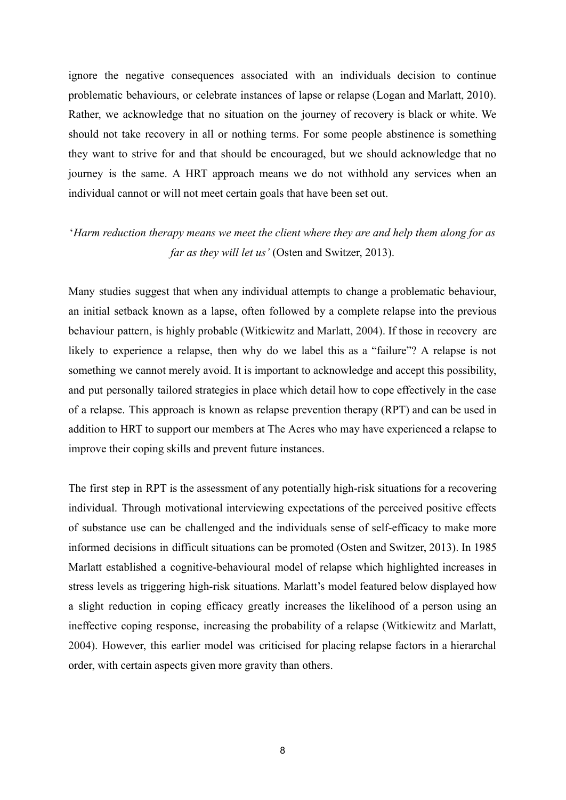ignore the negative consequences associated with an individuals decision to continue problematic behaviours, or celebrate instances of lapse or relapse (Logan and Marlatt, 2010). Rather, we acknowledge that no situation on the journey of recovery is black or white. We should not take recovery in all or nothing terms. For some people abstinence is something they want to strive for and that should be encouraged, but we should acknowledge that no journey is the same. A HRT approach means we do not withhold any services when an individual cannot or will not meet certain goals that have been set out.

## '*Harm reduction therapy means we meet the client where they are and help them along for as far as they will let us'* (Osten and Switzer, 2013).

Many studies suggest that when any individual attempts to change a problematic behaviour, an initial setback known as a lapse, often followed by a complete relapse into the previous behaviour pattern, is highly probable (Witkiewitz and Marlatt, 2004). If those in recovery are likely to experience a relapse, then why do we label this as a "failure"? A relapse is not something we cannot merely avoid. It is important to acknowledge and accept this possibility, and put personally tailored strategies in place which detail how to cope effectively in the case of a relapse. This approach is known as relapse prevention therapy (RPT) and can be used in addition to HRT to support our members at The Acres who may have experienced a relapse to improve their coping skills and prevent future instances.

The first step in RPT is the assessment of any potentially high-risk situations for a recovering individual. Through motivational interviewing expectations of the perceived positive effects of substance use can be challenged and the individuals sense of self-efficacy to make more informed decisions in difficult situations can be promoted (Osten and Switzer, 2013). In 1985 Marlatt established a cognitive-behavioural model of relapse which highlighted increases in stress levels as triggering high-risk situations. Marlatt's model featured below displayed how a slight reduction in coping efficacy greatly increases the likelihood of a person using an ineffective coping response, increasing the probability of a relapse (Witkiewitz and Marlatt, 2004). However, this earlier model was criticised for placing relapse factors in a hierarchal order, with certain aspects given more gravity than others.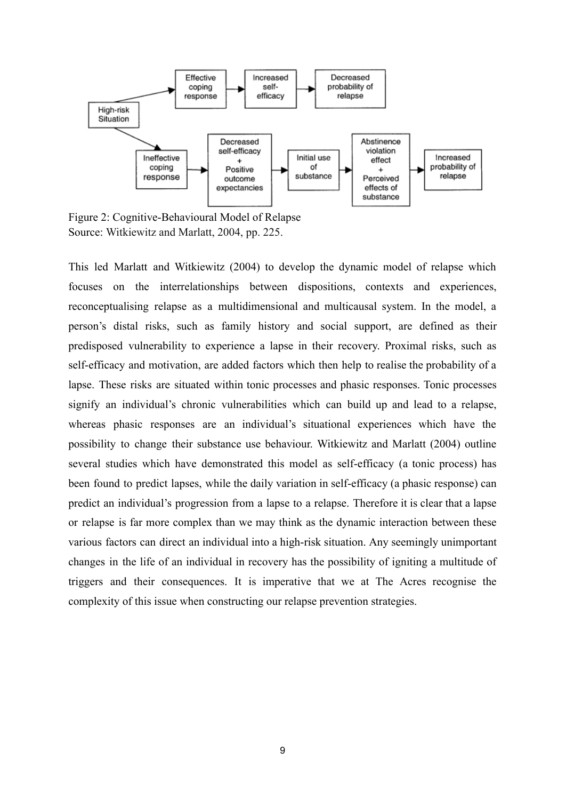

Figure 2: Cognitive-Behavioural Model of Relapse Source: Witkiewitz and Marlatt, 2004, pp. 225.

This led Marlatt and Witkiewitz (2004) to develop the dynamic model of relapse which focuses on the interrelationships between dispositions, contexts and experiences, reconceptualising relapse as a multidimensional and multicausal system. In the model, a person's distal risks, such as family history and social support, are defined as their predisposed vulnerability to experience a lapse in their recovery. Proximal risks, such as self-efficacy and motivation, are added factors which then help to realise the probability of a lapse. These risks are situated within tonic processes and phasic responses. Tonic processes signify an individual's chronic vulnerabilities which can build up and lead to a relapse, whereas phasic responses are an individual's situational experiences which have the possibility to change their substance use behaviour. Witkiewitz and Marlatt (2004) outline several studies which have demonstrated this model as self-efficacy (a tonic process) has been found to predict lapses, while the daily variation in self-efficacy (a phasic response) can predict an individual's progression from a lapse to a relapse. Therefore it is clear that a lapse or relapse is far more complex than we may think as the dynamic interaction between these various factors can direct an individual into a high-risk situation. Any seemingly unimportant changes in the life of an individual in recovery has the possibility of igniting a multitude of triggers and their consequences. It is imperative that we at The Acres recognise the complexity of this issue when constructing our relapse prevention strategies.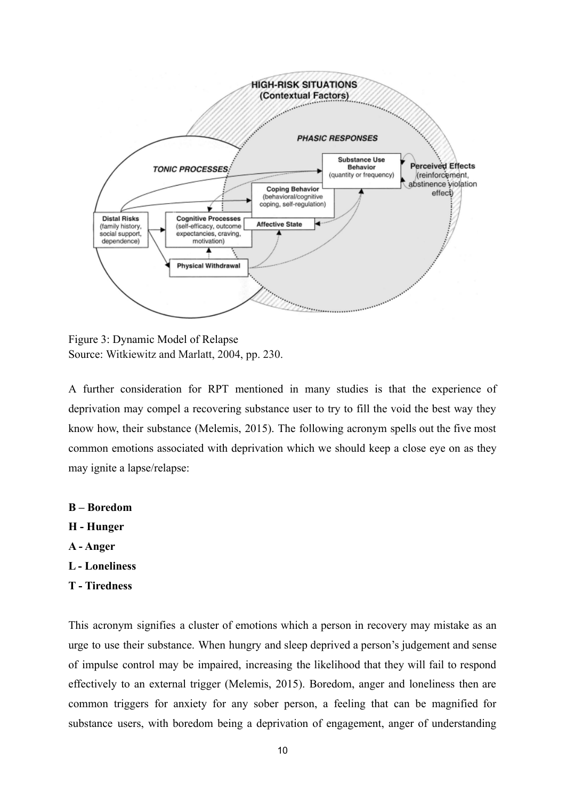

Figure 3: Dynamic Model of Relapse Source: Witkiewitz and Marlatt, 2004, pp. 230.

A further consideration for RPT mentioned in many studies is that the experience of deprivation may compel a recovering substance user to try to fill the void the best way they know how, their substance (Melemis, 2015). The following acronym spells out the five most common emotions associated with deprivation which we should keep a close eye on as they may ignite a lapse/relapse:

- **B Boredom**
- **H Hunger**
- **A Anger**
- **L Loneliness**
- **T Tiredness**

This acronym signifies a cluster of emotions which a person in recovery may mistake as an urge to use their substance. When hungry and sleep deprived a person's judgement and sense of impulse control may be impaired, increasing the likelihood that they will fail to respond effectively to an external trigger (Melemis, 2015). Boredom, anger and loneliness then are common triggers for anxiety for any sober person, a feeling that can be magnified for substance users, with boredom being a deprivation of engagement, anger of understanding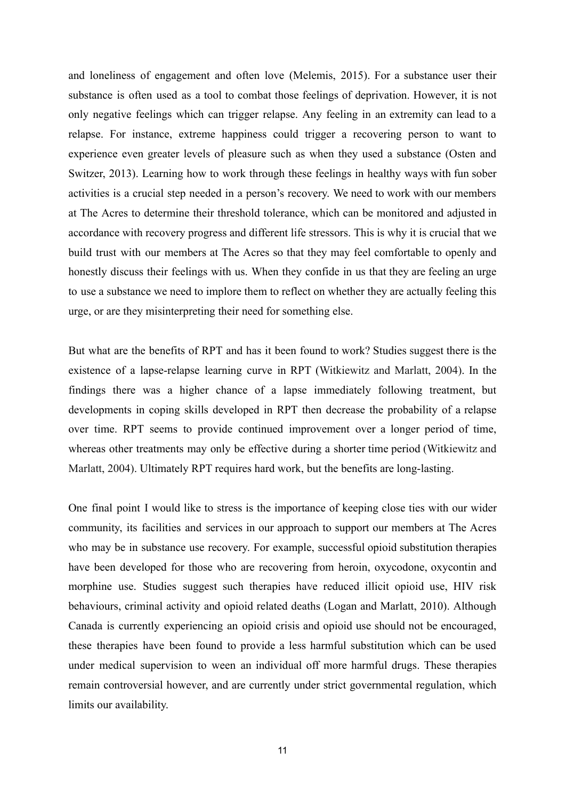and loneliness of engagement and often love (Melemis, 2015). For a substance user their substance is often used as a tool to combat those feelings of deprivation. However, it is not only negative feelings which can trigger relapse. Any feeling in an extremity can lead to a relapse. For instance, extreme happiness could trigger a recovering person to want to experience even greater levels of pleasure such as when they used a substance (Osten and Switzer, 2013). Learning how to work through these feelings in healthy ways with fun sober activities is a crucial step needed in a person's recovery. We need to work with our members at The Acres to determine their threshold tolerance, which can be monitored and adjusted in accordance with recovery progress and different life stressors. This is why it is crucial that we build trust with our members at The Acres so that they may feel comfortable to openly and honestly discuss their feelings with us. When they confide in us that they are feeling an urge to use a substance we need to implore them to reflect on whether they are actually feeling this urge, or are they misinterpreting their need for something else.

But what are the benefits of RPT and has it been found to work? Studies suggest there is the existence of a lapse-relapse learning curve in RPT (Witkiewitz and Marlatt, 2004). In the findings there was a higher chance of a lapse immediately following treatment, but developments in coping skills developed in RPT then decrease the probability of a relapse over time. RPT seems to provide continued improvement over a longer period of time, whereas other treatments may only be effective during a shorter time period (Witkiewitz and Marlatt, 2004). Ultimately RPT requires hard work, but the benefits are long-lasting.

One final point I would like to stress is the importance of keeping close ties with our wider community, its facilities and services in our approach to support our members at The Acres who may be in substance use recovery. For example, successful opioid substitution therapies have been developed for those who are recovering from heroin, oxycodone, oxycontin and morphine use. Studies suggest such therapies have reduced illicit opioid use, HIV risk behaviours, criminal activity and opioid related deaths (Logan and Marlatt, 2010). Although Canada is currently experiencing an opioid crisis and opioid use should not be encouraged, these therapies have been found to provide a less harmful substitution which can be used under medical supervision to ween an individual off more harmful drugs. These therapies remain controversial however, and are currently under strict governmental regulation, which limits our availability.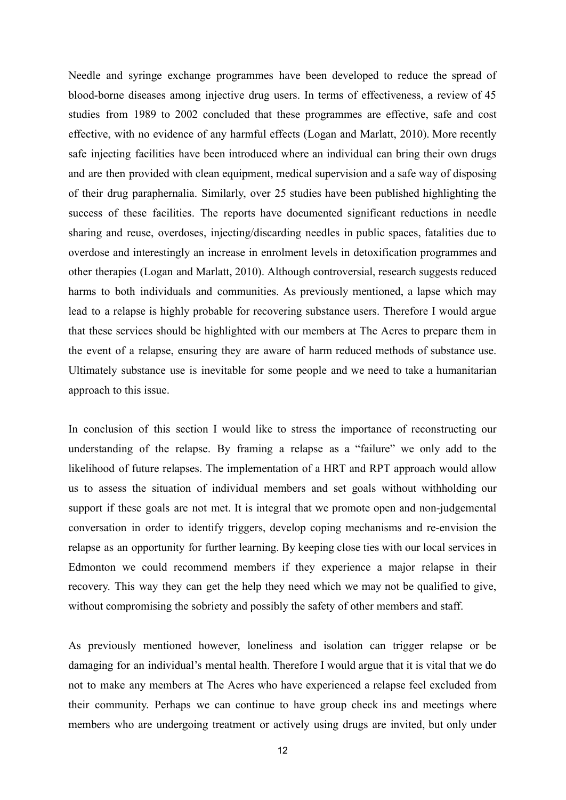Needle and syringe exchange programmes have been developed to reduce the spread of blood-borne diseases among injective drug users. In terms of effectiveness, a review of 45 studies from 1989 to 2002 concluded that these programmes are effective, safe and cost effective, with no evidence of any harmful effects (Logan and Marlatt, 2010). More recently safe injecting facilities have been introduced where an individual can bring their own drugs and are then provided with clean equipment, medical supervision and a safe way of disposing of their drug paraphernalia. Similarly, over 25 studies have been published highlighting the success of these facilities. The reports have documented significant reductions in needle sharing and reuse, overdoses, injecting/discarding needles in public spaces, fatalities due to overdose and interestingly an increase in enrolment levels in detoxification programmes and other therapies (Logan and Marlatt, 2010). Although controversial, research suggests reduced harms to both individuals and communities. As previously mentioned, a lapse which may lead to a relapse is highly probable for recovering substance users. Therefore I would argue that these services should be highlighted with our members at The Acres to prepare them in the event of a relapse, ensuring they are aware of harm reduced methods of substance use. Ultimately substance use is inevitable for some people and we need to take a humanitarian approach to this issue.

In conclusion of this section I would like to stress the importance of reconstructing our understanding of the relapse. By framing a relapse as a "failure" we only add to the likelihood of future relapses. The implementation of a HRT and RPT approach would allow us to assess the situation of individual members and set goals without withholding our support if these goals are not met. It is integral that we promote open and non-judgemental conversation in order to identify triggers, develop coping mechanisms and re-envision the relapse as an opportunity for further learning. By keeping close ties with our local services in Edmonton we could recommend members if they experience a major relapse in their recovery. This way they can get the help they need which we may not be qualified to give, without compromising the sobriety and possibly the safety of other members and staff.

As previously mentioned however, loneliness and isolation can trigger relapse or be damaging for an individual's mental health. Therefore I would argue that it is vital that we do not to make any members at The Acres who have experienced a relapse feel excluded from their community. Perhaps we can continue to have group check ins and meetings where members who are undergoing treatment or actively using drugs are invited, but only under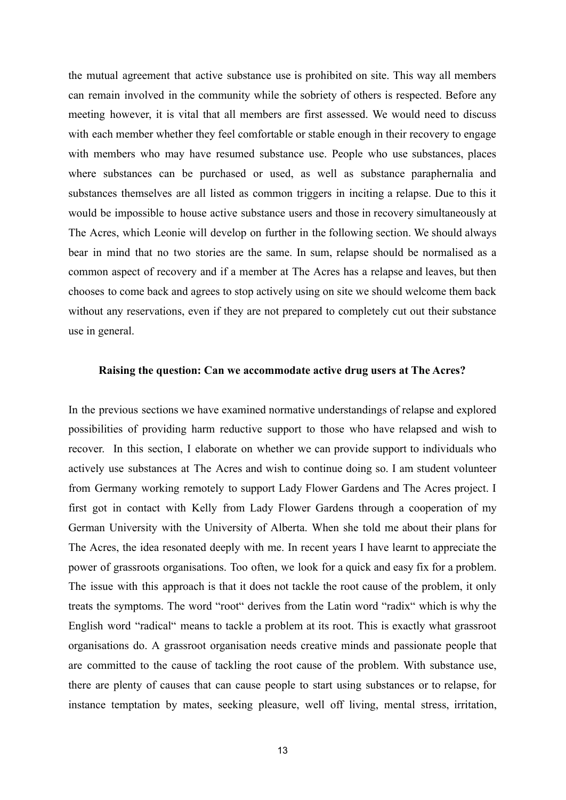the mutual agreement that active substance use is prohibited on site. This way all members can remain involved in the community while the sobriety of others is respected. Before any meeting however, it is vital that all members are first assessed. We would need to discuss with each member whether they feel comfortable or stable enough in their recovery to engage with members who may have resumed substance use. People who use substances, places where substances can be purchased or used, as well as substance paraphernalia and substances themselves are all listed as common triggers in inciting a relapse. Due to this it would be impossible to house active substance users and those in recovery simultaneously at The Acres, which Leonie will develop on further in the following section. We should always bear in mind that no two stories are the same. In sum, relapse should be normalised as a common aspect of recovery and if a member at The Acres has a relapse and leaves, but then chooses to come back and agrees to stop actively using on site we should welcome them back without any reservations, even if they are not prepared to completely cut out their substance use in general.

#### **Raising the question: Can we accommodate active drug users at The Acres?**

In the previous sections we have examined normative understandings of relapse and explored possibilities of providing harm reductive support to those who have relapsed and wish to recover. In this section, I elaborate on whether we can provide support to individuals who actively use substances at The Acres and wish to continue doing so. I am student volunteer from Germany working remotely to support Lady Flower Gardens and The Acres project. I first got in contact with Kelly from Lady Flower Gardens through a cooperation of my German University with the University of Alberta. When she told me about their plans for The Acres, the idea resonated deeply with me. In recent years I have learnt to appreciate the power of grassroots organisations. Too often, we look for a quick and easy fix for a problem. The issue with this approach is that it does not tackle the root cause of the problem, it only treats the symptoms. The word "root" derives from the Latin word "radix" which is why the English word "radical" means to tackle a problem at its root. This is exactly what grassroot organisations do. A grassroot organisation needs creative minds and passionate people that are committed to the cause of tackling the root cause of the problem. With substance use, there are plenty of causes that can cause people to start using substances or to relapse, for instance temptation by mates, seeking pleasure, well off living, mental stress, irritation,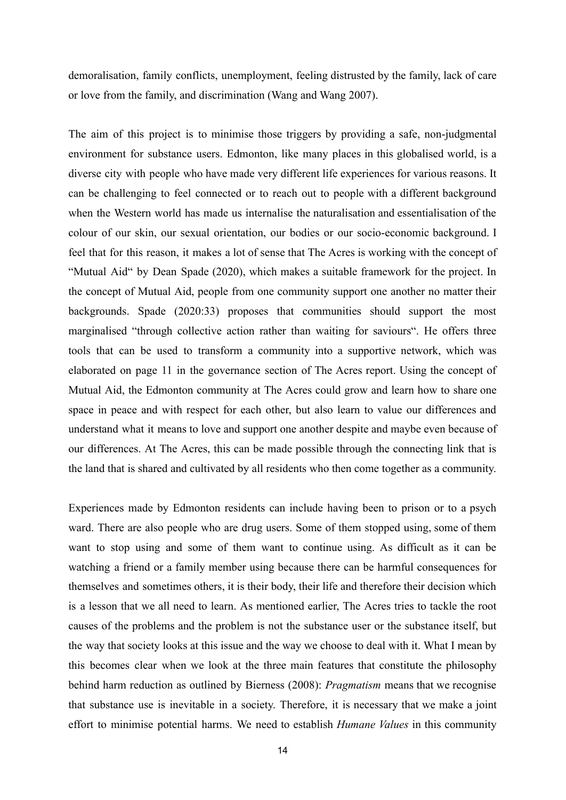demoralisation, family conflicts, unemployment, feeling distrusted by the family, lack of care or love from the family, and discrimination (Wang and Wang 2007).

The aim of this project is to minimise those triggers by providing a safe, non-judgmental environment for substance users. Edmonton, like many places in this globalised world, is a diverse city with people who have made very different life experiences for various reasons. It can be challenging to feel connected or to reach out to people with a different background when the Western world has made us internalise the naturalisation and essentialisation of the colour of our skin, our sexual orientation, our bodies or our socio-economic background. I feel that for this reason, it makes a lot of sense that The Acres is working with the concept of "Mutual Aid" by Dean Spade (2020), which makes a suitable framework for the project. In the concept of Mutual Aid, people from one community support one another no matter their backgrounds. Spade (2020:33) proposes that communities should support the most marginalised "through collective action rather than waiting for saviours". He offers three tools that can be used to transform a community into a supportive network, which was elaborated on page 11 in the governance section of The Acres report. Using the concept of Mutual Aid, the Edmonton community at The Acres could grow and learn how to share one space in peace and with respect for each other, but also learn to value our differences and understand what it means to love and support one another despite and maybe even because of our differences. At The Acres, this can be made possible through the connecting link that is the land that is shared and cultivated by all residents who then come together as a community.

Experiences made by Edmonton residents can include having been to prison or to a psych ward. There are also people who are drug users. Some of them stopped using, some of them want to stop using and some of them want to continue using. As difficult as it can be watching a friend or a family member using because there can be harmful consequences for themselves and sometimes others, it is their body, their life and therefore their decision which is a lesson that we all need to learn. As mentioned earlier, The Acres tries to tackle the root causes of the problems and the problem is not the substance user or the substance itself, but the way that society looks at this issue and the way we choose to deal with it. What I mean by this becomes clear when we look at the three main features that constitute the philosophy behind harm reduction as outlined by Bierness (2008): *Pragmatism* means that we recognise that substance use is inevitable in a society. Therefore, it is necessary that we make a joint effort to minimise potential harms. We need to establish *Humane Values* in this community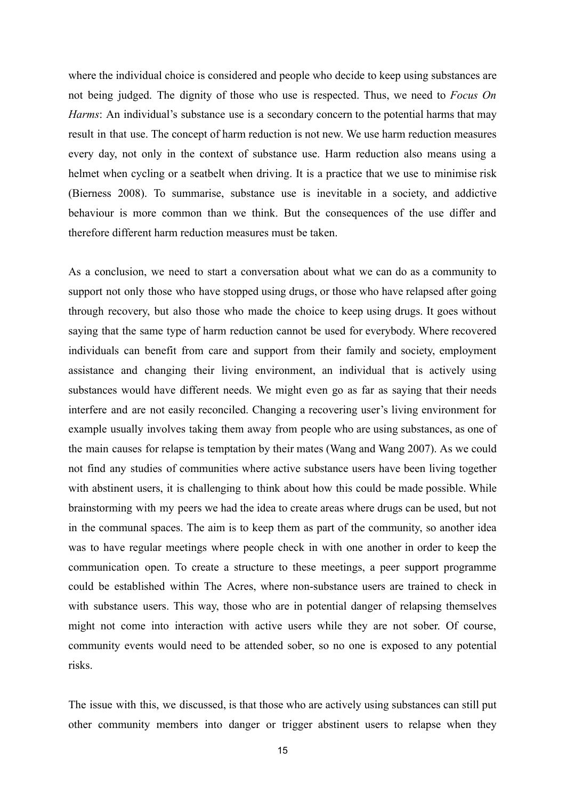where the individual choice is considered and people who decide to keep using substances are not being judged. The dignity of those who use is respected. Thus, we need to *Focus On Harms*: An individual's substance use is a secondary concern to the potential harms that may result in that use. The concept of harm reduction is not new. We use harm reduction measures every day, not only in the context of substance use. Harm reduction also means using a helmet when cycling or a seatbelt when driving. It is a practice that we use to minimise risk (Bierness 2008). To summarise, substance use is inevitable in a society, and addictive behaviour is more common than we think. But the consequences of the use differ and therefore different harm reduction measures must be taken.

As a conclusion, we need to start a conversation about what we can do as a community to support not only those who have stopped using drugs, or those who have relapsed after going through recovery, but also those who made the choice to keep using drugs. It goes without saying that the same type of harm reduction cannot be used for everybody. Where recovered individuals can benefit from care and support from their family and society, employment assistance and changing their living environment, an individual that is actively using substances would have different needs. We might even go as far as saying that their needs interfere and are not easily reconciled. Changing a recovering user's living environment for example usually involves taking them away from people who are using substances, as one of the main causes for relapse is temptation by their mates (Wang and Wang 2007). As we could not find any studies of communities where active substance users have been living together with abstinent users, it is challenging to think about how this could be made possible. While brainstorming with my peers we had the idea to create areas where drugs can be used, but not in the communal spaces. The aim is to keep them as part of the community, so another idea was to have regular meetings where people check in with one another in order to keep the communication open. To create a structure to these meetings, a peer support programme could be established within The Acres, where non-substance users are trained to check in with substance users. This way, those who are in potential danger of relapsing themselves might not come into interaction with active users while they are not sober. Of course, community events would need to be attended sober, so no one is exposed to any potential risks.

The issue with this, we discussed, is that those who are actively using substances can still put other community members into danger or trigger abstinent users to relapse when they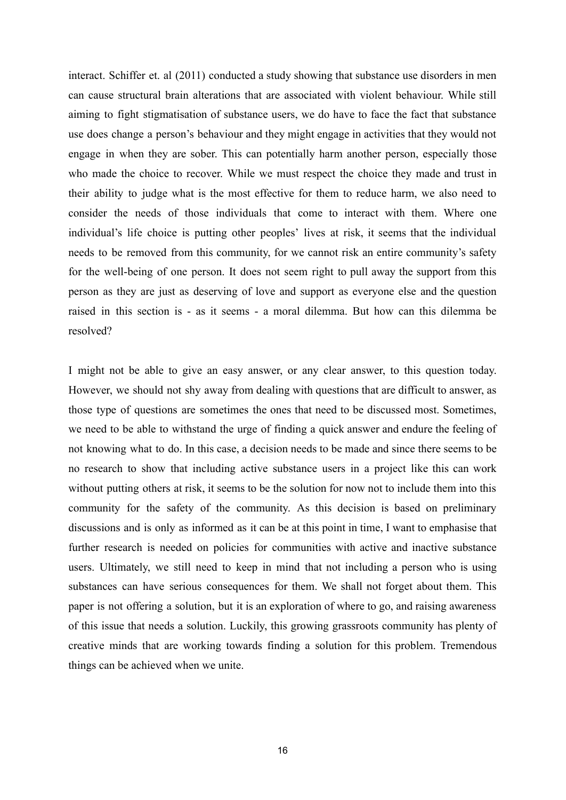interact. Schiffer et. al (2011) conducted a study showing that substance use disorders in men can cause structural brain alterations that are associated with violent behaviour. While still aiming to fight stigmatisation of substance users, we do have to face the fact that substance use does change a person's behaviour and they might engage in activities that they would not engage in when they are sober. This can potentially harm another person, especially those who made the choice to recover. While we must respect the choice they made and trust in their ability to judge what is the most effective for them to reduce harm, we also need to consider the needs of those individuals that come to interact with them. Where one individual's life choice is putting other peoples' lives at risk, it seems that the individual needs to be removed from this community, for we cannot risk an entire community's safety for the well-being of one person. It does not seem right to pull away the support from this person as they are just as deserving of love and support as everyone else and the question raised in this section is - as it seems - a moral dilemma. But how can this dilemma be resolved?

I might not be able to give an easy answer, or any clear answer, to this question today. However, we should not shy away from dealing with questions that are difficult to answer, as those type of questions are sometimes the ones that need to be discussed most. Sometimes, we need to be able to withstand the urge of finding a quick answer and endure the feeling of not knowing what to do. In this case, a decision needs to be made and since there seems to be no research to show that including active substance users in a project like this can work without putting others at risk, it seems to be the solution for now not to include them into this community for the safety of the community. As this decision is based on preliminary discussions and is only as informed as it can be at this point in time, I want to emphasise that further research is needed on policies for communities with active and inactive substance users. Ultimately, we still need to keep in mind that not including a person who is using substances can have serious consequences for them. We shall not forget about them. This paper is not offering a solution, but it is an exploration of where to go, and raising awareness of this issue that needs a solution. Luckily, this growing grassroots community has plenty of creative minds that are working towards finding a solution for this problem. Tremendous things can be achieved when we unite.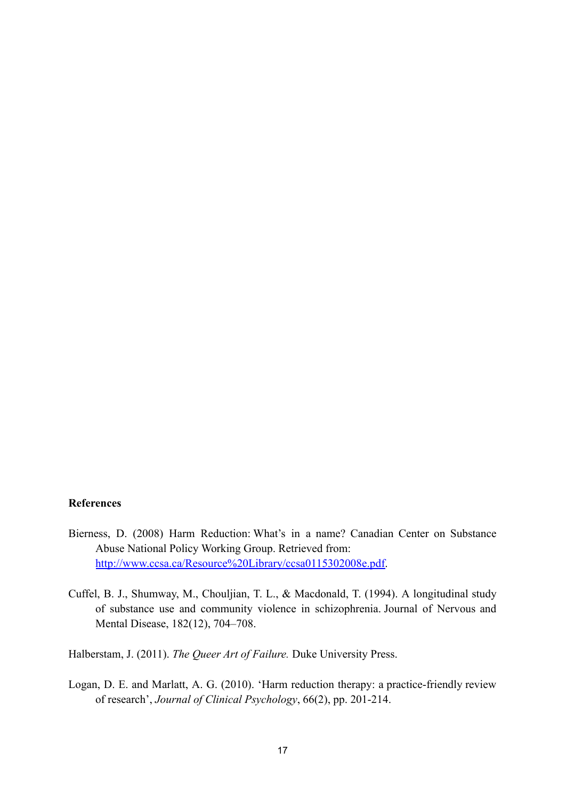### **References**

- Bierness, D. (2008) Harm Reduction: What's in a name? Canadian Center on Substance Abuse National Policy Working Group. Retrieved from: [http://www.ccsa.ca/Resource%20Library/ccsa0115302008e.pdf.](http://www.ccsa.ca/Resource%20Library/ccsa0115302008e.pdf)
- Cuffel, B. J., Shumway, M., Chouljian, T. L., & Macdonald, T. (1994). A longitudinal study of substance use and community violence in schizophrenia. Journal of Nervous and Mental Disease, 182(12), 704–708.
- Halberstam, J. (2011). *The Queer Art of Failure.* Duke University Press.
- Logan, D. E. and Marlatt, A. G. (2010). 'Harm reduction therapy: a practice-friendly review of research', *Journal of Clinical Psychology*, 66(2), pp. 201-214.